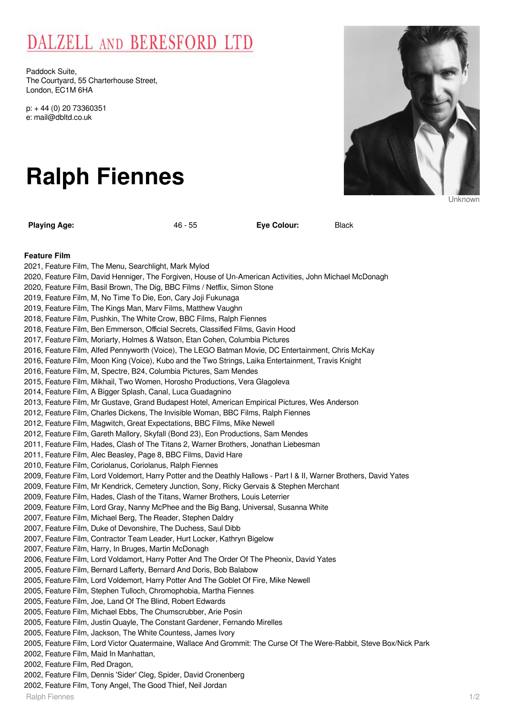## DALZELL AND BERESFORD LTD

Paddock Suite, The Courtyard, 55 Charterhouse Street, London, EC1M 6HA

p: + 44 (0) 20 73360351 e: mail@dbltd.co.uk

# **Ralph Fiennes**

**Playing Age:** 46 - 55 **Eye Colour:** Black

**Feature Film**

2021, Feature Film, The Menu, Searchlight, Mark Mylod 2020, Feature Film, David Henniger, The Forgiven, House of Un-American Activities, John Michael McDonagh 2020, Feature Film, Basil Brown, The Dig, BBC Films / Netflix, Simon Stone 2019, Feature Film, M, No Time To Die, Eon, Cary Joji Fukunaga 2019, Feature Film, The Kings Man, Marv Films, Matthew Vaughn 2018, Feature Film, Pushkin, The White Crow, BBC Films, Ralph Fiennes 2018, Feature Film, Ben Emmerson, Official Secrets, Classified Films, Gavin Hood 2017, Feature Film, Moriarty, Holmes & Watson, Etan Cohen, Columbia Pictures 2016, Feature Film, Alfed Pennyworth (Voice), The LEGO Batman Movie, DC Entertainment, Chris McKay 2016, Feature Film, Moon King (Voice), Kubo and the Two Strings, Laika Entertainment, Travis Knight 2016, Feature Film, M, Spectre, B24, Columbia Pictures, Sam Mendes 2015, Feature Film, Mikhail, Two Women, Horosho Productions, Vera Glagoleva 2014, Feature Film, A Bigger Splash, Canal, Luca Guadagnino 2013, Feature Film, Mr Gustave, Grand Budapest Hotel, American Empirical Pictures, Wes Anderson 2012, Feature Film, Charles Dickens, The Invisible Woman, BBC Films, Ralph Fiennes 2012, Feature Film, Magwitch, Great Expectations, BBC Films, Mike Newell 2012, Feature Film, Gareth Mallory, Skyfall (Bond 23), Eon Productions, Sam Mendes 2011, Feature Film, Hades, Clash of The Titans 2, Warner Brothers, Jonathan Liebesman 2011, Feature Film, Alec Beasley, Page 8, BBC Films, David Hare 2010, Feature Film, Coriolanus, Coriolanus, Ralph Fiennes 2009, Feature Film, Lord Voldemort, Harry Potter and the Deathly Hallows - Part I & II, Warner Brothers, David Yates 2009, Feature Film, Mr Kendrick, Cemetery Junction, Sony, Ricky Gervais & Stephen Merchant 2009, Feature Film, Hades, Clash of the Titans, Warner Brothers, Louis Leterrier 2009, Feature Film, Lord Gray, Nanny McPhee and the Big Bang, Universal, Susanna White 2007, Feature Film, Michael Berg, The Reader, Stephen Daldry 2007, Feature Film, Duke of Devonshire, The Duchess, Saul Dibb 2007, Feature Film, Contractor Team Leader, Hurt Locker, Kathryn Bigelow 2007, Feature Film, Harry, In Bruges, Martin McDonagh 2006, Feature Film, Lord Voldamort, Harry Potter And The Order Of The Pheonix, David Yates 2005, Feature Film, Bernard Lafferty, Bernard And Doris, Bob Balabow 2005, Feature Film, Lord Voldemort, Harry Potter And The Goblet Of Fire, Mike Newell 2005, Feature Film, Stephen Tulloch, Chromophobia, Martha Fiennes 2005, Feature Film, Joe, Land Of The Blind, Robert Edwards 2005, Feature Film, Michael Ebbs, The Chumscrubber, Arie Posin 2005, Feature Film, Justin Quayle, The Constant Gardener, Fernando Mirelles 2005, Feature Film, Jackson, The White Countess, James Ivory 2005, Feature Film, Lord Victor Quatermaine, Wallace And Grommit: The Curse Of The Were-Rabbit, Steve Box/Nick Park 2002, Feature Film, Maid In Manhattan, 2002, Feature Film, Red Dragon, 2002, Feature Film, Dennis 'Sider' Cleg, Spider, David Cronenberg 2002, Feature Film, Tony Angel, The Good Thief, Neil Jordan